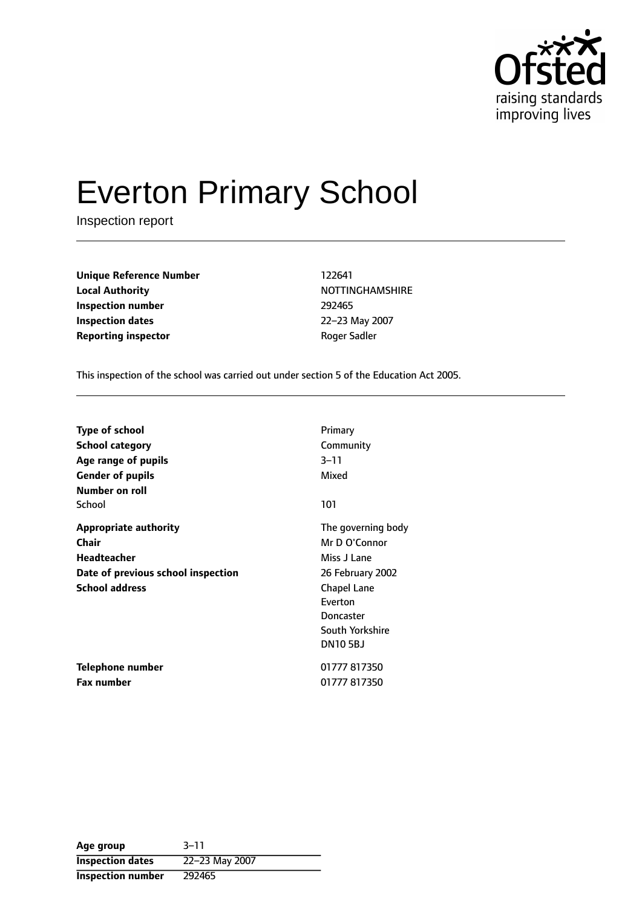

# Everton Primary School

Inspection report

**Unique Reference Number** 122641 **Local Authority NOTTINGHAMSHIRE Inspection number** 292465 **Inspection dates** 22-23 May 2007 **Reporting inspector CONFIDENTIAL ROGER Sadder** Roger Sadler

This inspection of the school was carried out under section 5 of the Education Act 2005.

| <b>Type of school</b>              | Primary            |
|------------------------------------|--------------------|
| <b>School category</b>             | Community          |
| Age range of pupils                | $3 - 11$           |
| <b>Gender of pupils</b>            | Mixed              |
| Number on roll                     |                    |
| School                             | 101                |
| <b>Appropriate authority</b>       | The governing body |
| <b>Chair</b>                       | Mr D O'Connor      |
| Headteacher                        | Miss J Lane        |
| Date of previous school inspection | 26 February 2002   |
| <b>School address</b>              | <b>Chapel Lane</b> |
|                                    | Everton            |
|                                    | Doncaster          |
|                                    | South Yorkshire    |
|                                    | <b>DN105BJ</b>     |
| Telephone number                   | 01777 817350       |
| <b>Fax number</b>                  | 01777 817350       |

| Age group               | $3 - 11$       |
|-------------------------|----------------|
| <b>Inspection dates</b> | 22-23 May 2007 |
| Inspection number       | 292465         |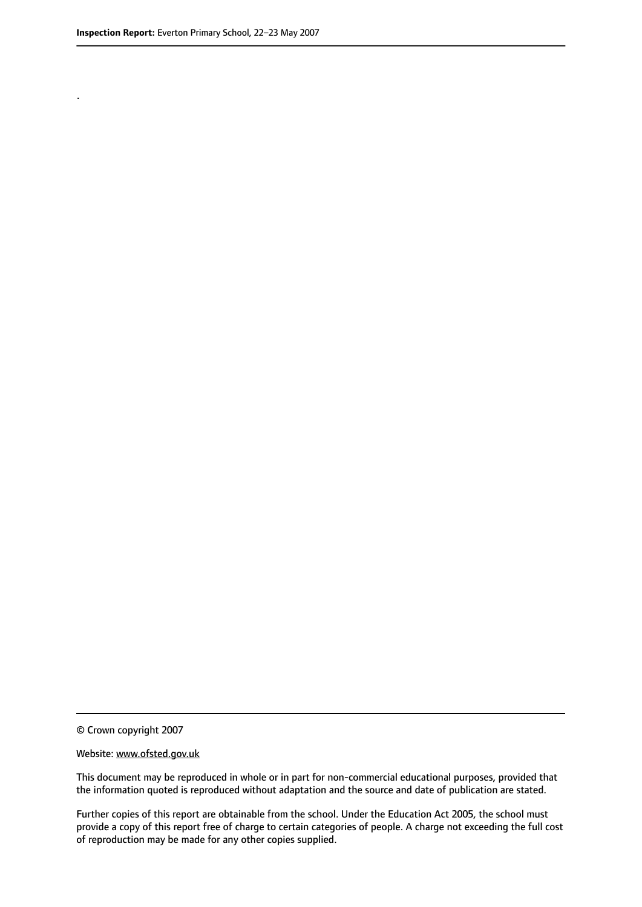.

© Crown copyright 2007

#### Website: www.ofsted.gov.uk

This document may be reproduced in whole or in part for non-commercial educational purposes, provided that the information quoted is reproduced without adaptation and the source and date of publication are stated.

Further copies of this report are obtainable from the school. Under the Education Act 2005, the school must provide a copy of this report free of charge to certain categories of people. A charge not exceeding the full cost of reproduction may be made for any other copies supplied.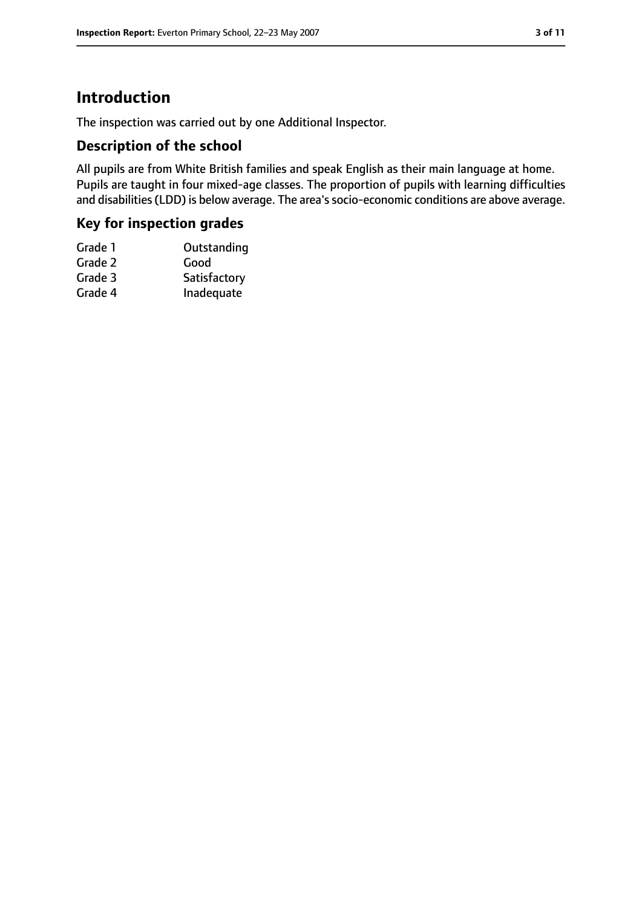## **Introduction**

The inspection was carried out by one Additional Inspector.

#### **Description of the school**

All pupils are from White British families and speak English as their main language at home. Pupils are taught in four mixed-age classes. The proportion of pupils with learning difficulties and disabilities (LDD) is below average. The area's socio-economic conditions are above average.

#### **Key for inspection grades**

| Grade 1 | Outstanding  |
|---------|--------------|
| Grade 2 | Good         |
| Grade 3 | Satisfactory |
| Grade 4 | Inadequate   |
|         |              |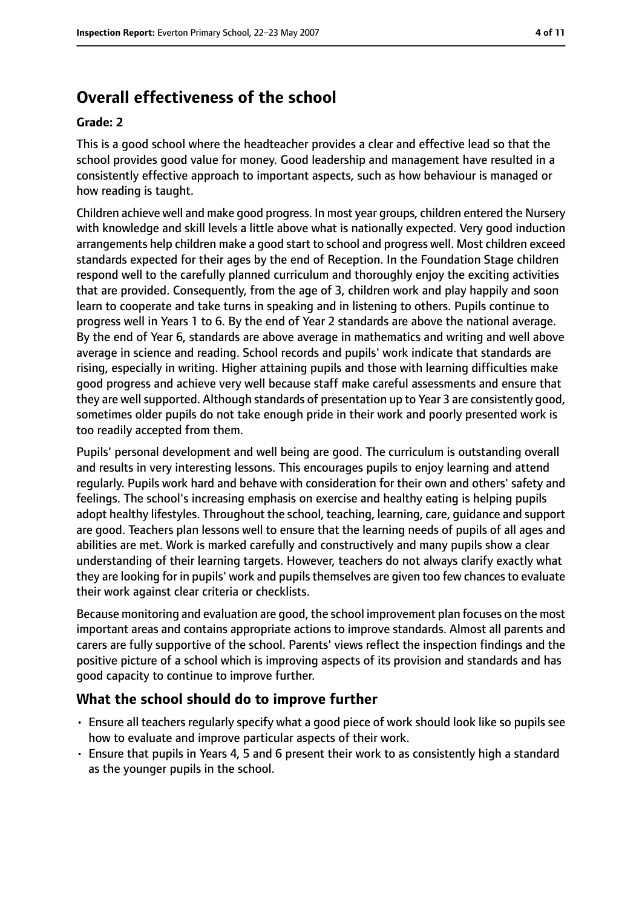# **Overall effectiveness of the school**

#### **Grade: 2**

This is a good school where the headteacher provides a clear and effective lead so that the school provides good value for money. Good leadership and management have resulted in a consistently effective approach to important aspects, such as how behaviour is managed or how reading is taught.

Children achieve well and make good progress. In most year groups, children entered the Nursery with knowledge and skill levels a little above what is nationally expected. Very good induction arrangements help children make a good start to school and progress well. Most children exceed standards expected for their ages by the end of Reception. In the Foundation Stage children respond well to the carefully planned curriculum and thoroughly enjoy the exciting activities that are provided. Consequently, from the age of 3, children work and play happily and soon learn to cooperate and take turns in speaking and in listening to others. Pupils continue to progress well in Years 1 to 6. By the end of Year 2 standards are above the national average. By the end of Year 6, standards are above average in mathematics and writing and well above average in science and reading. School records and pupils' work indicate that standards are rising, especially in writing. Higher attaining pupils and those with learning difficulties make good progress and achieve very well because staff make careful assessments and ensure that they are well supported. Although standards of presentation up to Year 3 are consistently good, sometimes older pupils do not take enough pride in their work and poorly presented work is too readily accepted from them.

Pupils' personal development and well being are good. The curriculum is outstanding overall and results in very interesting lessons. This encourages pupils to enjoy learning and attend regularly. Pupils work hard and behave with consideration for their own and others' safety and feelings. The school's increasing emphasis on exercise and healthy eating is helping pupils adopt healthy lifestyles. Throughout the school, teaching, learning, care, guidance and support are good. Teachers plan lessons well to ensure that the learning needs of pupils of all ages and abilities are met. Work is marked carefully and constructively and many pupils show a clear understanding of their learning targets. However, teachers do not always clarify exactly what they are looking for in pupils' work and pupils themselves are given too few chances to evaluate their work against clear criteria or checklists.

Because monitoring and evaluation are good, the school improvement plan focuses on the most important areas and contains appropriate actions to improve standards. Almost all parents and carers are fully supportive of the school. Parents' views reflect the inspection findings and the positive picture of a school which is improving aspects of its provision and standards and has good capacity to continue to improve further.

#### **What the school should do to improve further**

- Ensure all teachers regularly specify what a good piece of work should look like so pupils see how to evaluate and improve particular aspects of their work.
- Ensure that pupils in Years 4, 5 and 6 present their work to as consistently high a standard as the younger pupils in the school.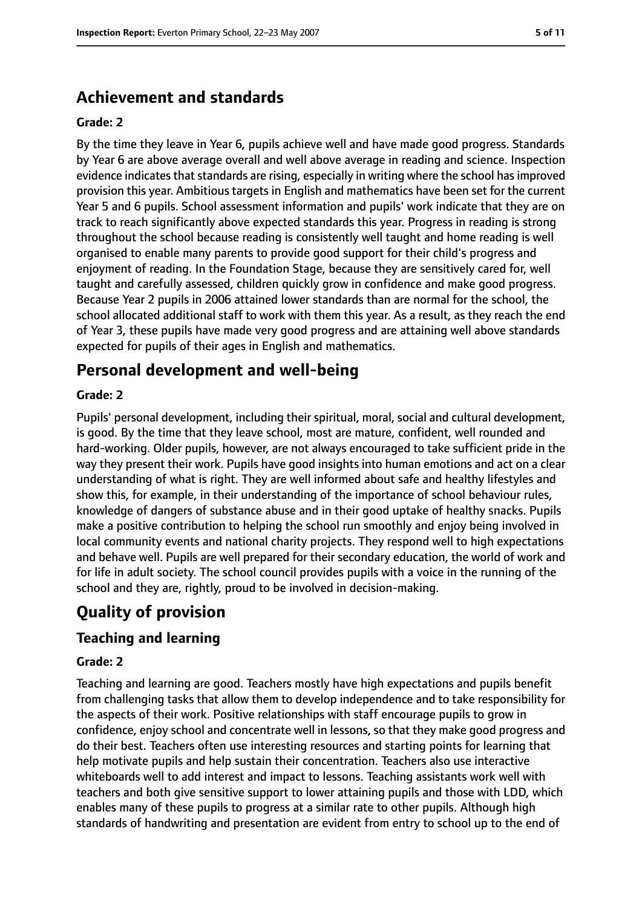## **Achievement and standards**

#### **Grade: 2**

By the time they leave in Year 6, pupils achieve well and have made good progress. Standards by Year 6 are above average overall and well above average in reading and science. Inspection evidence indicates that standards are rising, especially in writing where the school has improved provision this year. Ambitious targets in English and mathematics have been set for the current Year 5 and 6 pupils. School assessment information and pupils' work indicate that they are on track to reach significantly above expected standards this year. Progress in reading is strong throughout the school because reading is consistently well taught and home reading is well organised to enable many parents to provide good support for their child's progress and enjoyment of reading. In the Foundation Stage, because they are sensitively cared for, well taught and carefully assessed, children quickly grow in confidence and make good progress. Because Year 2 pupils in 2006 attained lower standards than are normal for the school, the school allocated additional staff to work with them this year. As a result, as they reach the end of Year 3, these pupils have made very good progress and are attaining well above standards expected for pupils of their ages in English and mathematics.

## **Personal development and well-being**

#### **Grade: 2**

Pupils' personal development, including their spiritual, moral, social and cultural development, is good. By the time that they leave school, most are mature, confident, well rounded and hard-working. Older pupils, however, are not always encouraged to take sufficient pride in the way they present their work. Pupils have good insights into human emotions and act on a clear understanding of what is right. They are well informed about safe and healthy lifestyles and show this, for example, in their understanding of the importance of school behaviour rules, knowledge of dangers of substance abuse and in their good uptake of healthy snacks. Pupils make a positive contribution to helping the school run smoothly and enjoy being involved in local community events and national charity projects. They respond well to high expectations and behave well. Pupils are well prepared for their secondary education, the world of work and for life in adult society. The school council provides pupils with a voice in the running of the school and they are, rightly, proud to be involved in decision-making.

## **Quality of provision**

## **Teaching and learning**

#### **Grade: 2**

Teaching and learning are good. Teachers mostly have high expectations and pupils benefit from challenging tasks that allow them to develop independence and to take responsibility for the aspects of their work. Positive relationships with staff encourage pupils to grow in confidence, enjoy school and concentrate well in lessons, so that they make good progress and do their best. Teachers often use interesting resources and starting points for learning that help motivate pupils and help sustain their concentration. Teachers also use interactive whiteboards well to add interest and impact to lessons. Teaching assistants work well with teachers and both give sensitive support to lower attaining pupils and those with LDD, which enables many of these pupils to progress at a similar rate to other pupils. Although high standards of handwriting and presentation are evident from entry to school up to the end of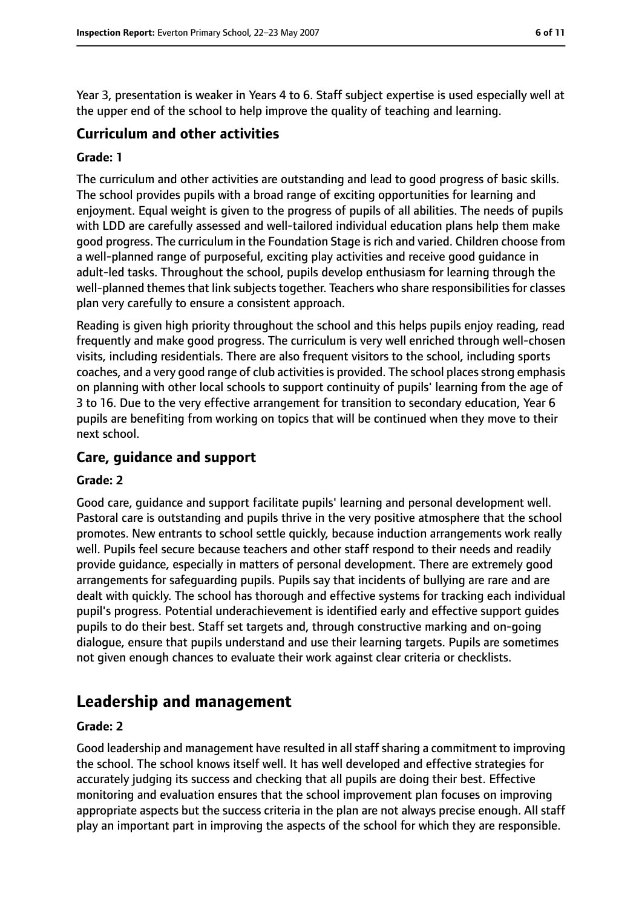Year 3, presentation is weaker in Years 4 to 6. Staff subject expertise is used especially well at the upper end of the school to help improve the quality of teaching and learning.

#### **Curriculum and other activities**

#### **Grade: 1**

The curriculum and other activities are outstanding and lead to good progress of basic skills. The school provides pupils with a broad range of exciting opportunities for learning and enjoyment. Equal weight is given to the progress of pupils of all abilities. The needs of pupils with LDD are carefully assessed and well-tailored individual education plans help them make good progress. The curriculum in the Foundation Stage is rich and varied. Children choose from a well-planned range of purposeful, exciting play activities and receive good guidance in adult-led tasks. Throughout the school, pupils develop enthusiasm for learning through the well-planned themes that link subjects together. Teachers who share responsibilities for classes plan very carefully to ensure a consistent approach.

Reading is given high priority throughout the school and this helps pupils enjoy reading, read frequently and make good progress. The curriculum is very well enriched through well-chosen visits, including residentials. There are also frequent visitors to the school, including sports coaches, and a very good range of club activities is provided. The school places strong emphasis on planning with other local schools to support continuity of pupils' learning from the age of 3 to 16. Due to the very effective arrangement for transition to secondary education, Year 6 pupils are benefiting from working on topics that will be continued when they move to their next school.

#### **Care, guidance and support**

#### **Grade: 2**

Good care, guidance and support facilitate pupils' learning and personal development well. Pastoral care is outstanding and pupils thrive in the very positive atmosphere that the school promotes. New entrants to school settle quickly, because induction arrangements work really well. Pupils feel secure because teachers and other staff respond to their needs and readily provide guidance, especially in matters of personal development. There are extremely good arrangements for safeguarding pupils. Pupils say that incidents of bullying are rare and are dealt with quickly. The school has thorough and effective systems for tracking each individual pupil's progress. Potential underachievement is identified early and effective support guides pupils to do their best. Staff set targets and, through constructive marking and on-going dialogue, ensure that pupils understand and use their learning targets. Pupils are sometimes not given enough chances to evaluate their work against clear criteria or checklists.

## **Leadership and management**

#### **Grade: 2**

Good leadership and management have resulted in all staff sharing a commitment to improving the school. The school knows itself well. It has well developed and effective strategies for accurately judging its success and checking that all pupils are doing their best. Effective monitoring and evaluation ensures that the school improvement plan focuses on improving appropriate aspects but the success criteria in the plan are not always precise enough. All staff play an important part in improving the aspects of the school for which they are responsible.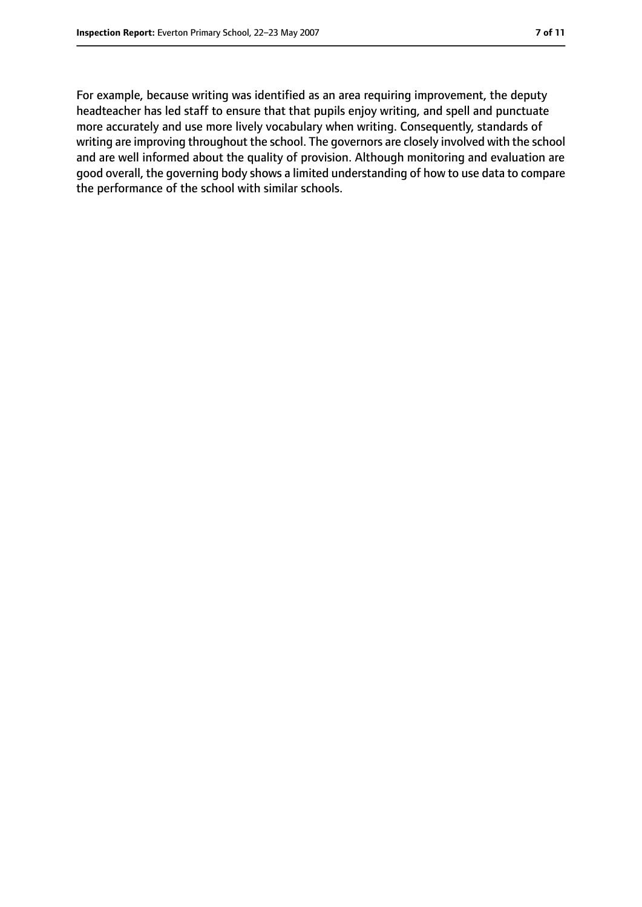For example, because writing was identified as an area requiring improvement, the deputy headteacher has led staff to ensure that that pupils enjoy writing, and spell and punctuate more accurately and use more lively vocabulary when writing. Consequently, standards of writing are improving throughout the school. The governors are closely involved with the school and are well informed about the quality of provision. Although monitoring and evaluation are good overall, the governing body shows a limited understanding of how to use data to compare the performance of the school with similar schools.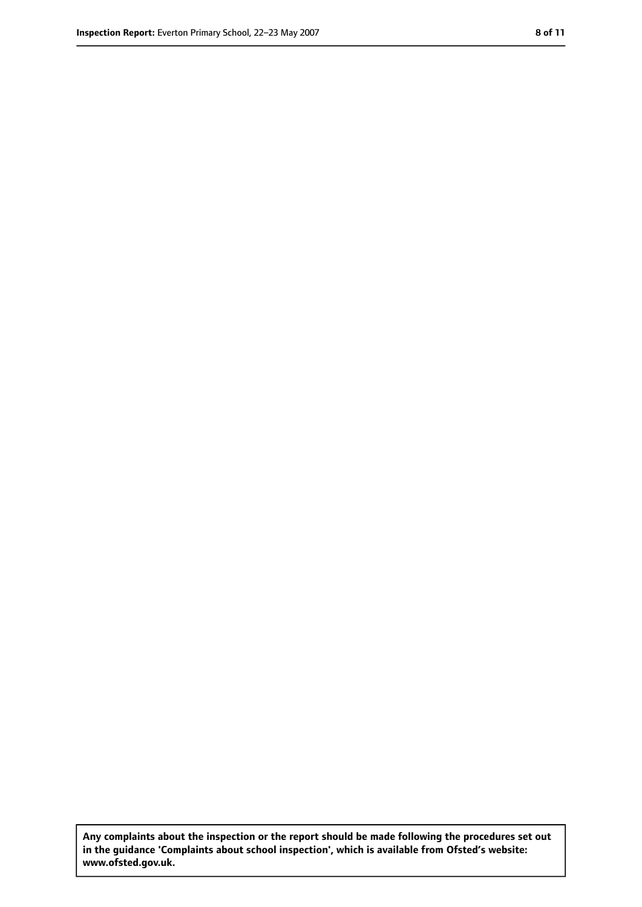**Any complaints about the inspection or the report should be made following the procedures set out in the guidance 'Complaints about school inspection', which is available from Ofsted's website: www.ofsted.gov.uk.**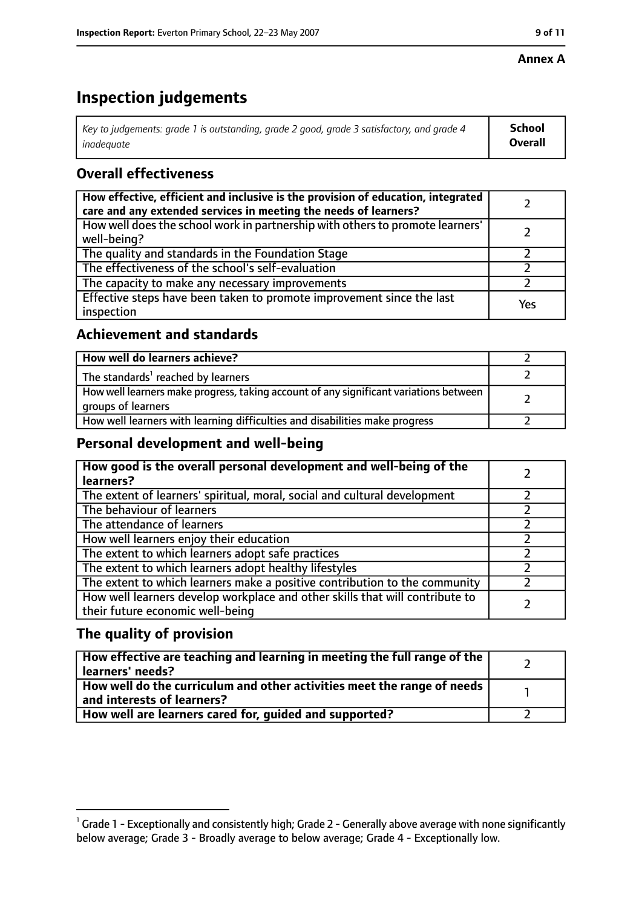#### **Annex A**

# **Inspection judgements**

| Key to judgements: grade 1 is outstanding, grade 2 good, grade 3 satisfactory, and grade 4 $\,$ | <b>School</b>  |
|-------------------------------------------------------------------------------------------------|----------------|
| inadequate                                                                                      | <b>Overall</b> |

## **Overall effectiveness**

| How effective, efficient and inclusive is the provision of education, integrated<br>care and any extended services in meeting the needs of learners? |     |
|------------------------------------------------------------------------------------------------------------------------------------------------------|-----|
| How well does the school work in partnership with others to promote learners'<br>well-being?                                                         |     |
| The quality and standards in the Foundation Stage                                                                                                    |     |
| The effectiveness of the school's self-evaluation                                                                                                    |     |
| The capacity to make any necessary improvements                                                                                                      |     |
| Effective steps have been taken to promote improvement since the last<br>inspection                                                                  | Yes |

## **Achievement and standards**

| How well do learners achieve?                                                                               |  |
|-------------------------------------------------------------------------------------------------------------|--|
| The standards <sup>1</sup> reached by learners                                                              |  |
| How well learners make progress, taking account of any significant variations between<br>groups of learners |  |
| How well learners with learning difficulties and disabilities make progress                                 |  |

## **Personal development and well-being**

| How good is the overall personal development and well-being of the<br>learners?                                  |  |
|------------------------------------------------------------------------------------------------------------------|--|
| The extent of learners' spiritual, moral, social and cultural development                                        |  |
| The behaviour of learners                                                                                        |  |
| The attendance of learners                                                                                       |  |
| How well learners enjoy their education                                                                          |  |
| The extent to which learners adopt safe practices                                                                |  |
| The extent to which learners adopt healthy lifestyles                                                            |  |
| The extent to which learners make a positive contribution to the community                                       |  |
| How well learners develop workplace and other skills that will contribute to<br>their future economic well-being |  |

## **The quality of provision**

| How effective are teaching and learning in meeting the full range of the<br>learners' needs?          |  |
|-------------------------------------------------------------------------------------------------------|--|
| How well do the curriculum and other activities meet the range of needs<br>and interests of learners? |  |
| How well are learners cared for, quided and supported?                                                |  |

 $^1$  Grade 1 - Exceptionally and consistently high; Grade 2 - Generally above average with none significantly below average; Grade 3 - Broadly average to below average; Grade 4 - Exceptionally low.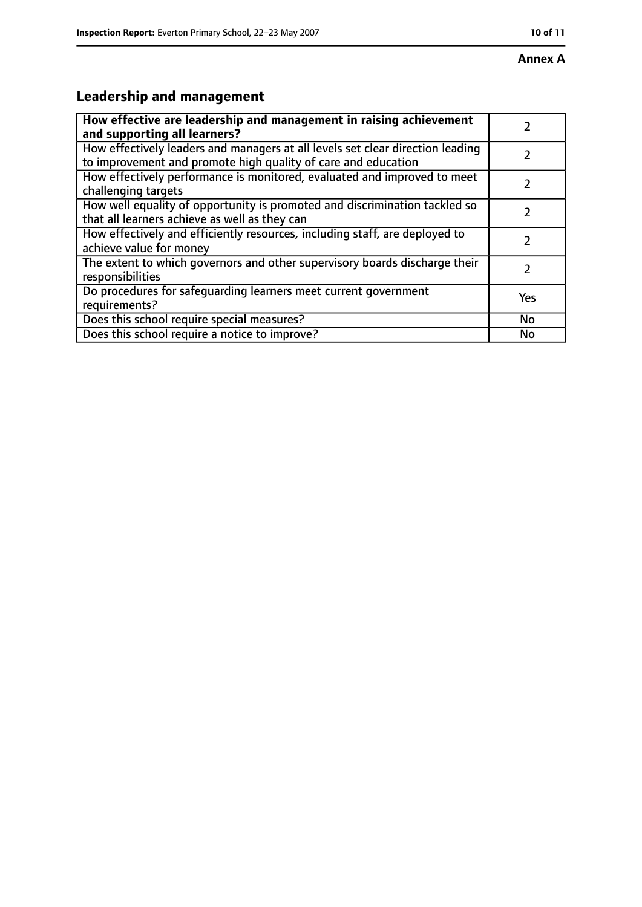#### **Annex A**

# **Leadership and management**

| How effective are leadership and management in raising achievement                                                                              |               |
|-------------------------------------------------------------------------------------------------------------------------------------------------|---------------|
| and supporting all learners?                                                                                                                    |               |
| How effectively leaders and managers at all levels set clear direction leading<br>to improvement and promote high quality of care and education |               |
| How effectively performance is monitored, evaluated and improved to meet<br>challenging targets                                                 |               |
| How well equality of opportunity is promoted and discrimination tackled so<br>that all learners achieve as well as they can                     |               |
| How effectively and efficiently resources, including staff, are deployed to<br>achieve value for money                                          | 7             |
| The extent to which governors and other supervisory boards discharge their<br>responsibilities                                                  | $\mathcal{L}$ |
| Do procedures for safequarding learners meet current government<br>requirements?                                                                | Yes           |
| Does this school require special measures?                                                                                                      | No            |
| Does this school require a notice to improve?                                                                                                   | No            |